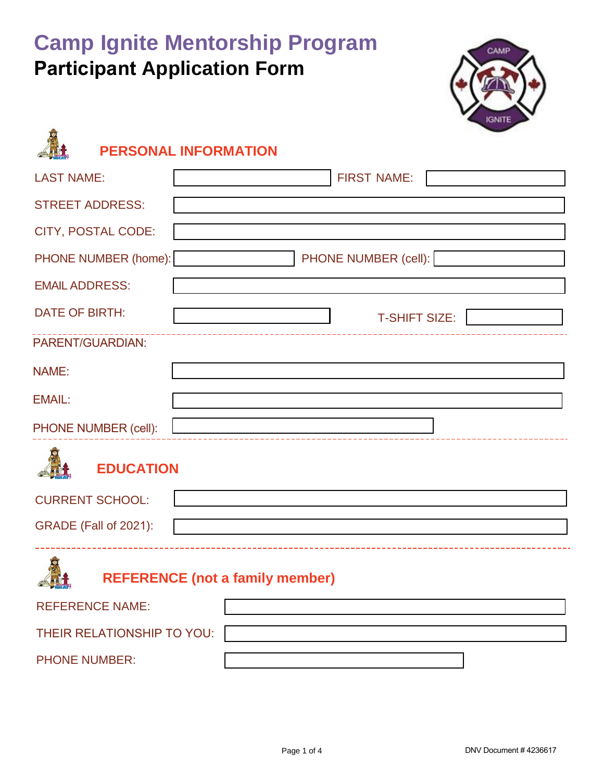# **Camp Ignite Mentorship Program Participant Application Form**



## **PERSONAL INFORMATION**

PHONE NUMBER:

| <b>LAST NAME:</b>                      | <b>FIRST NAME:</b>   |  |  |  |  |
|----------------------------------------|----------------------|--|--|--|--|
| <b>STREET ADDRESS:</b>                 |                      |  |  |  |  |
| <b>CITY, POSTAL CODE:</b>              |                      |  |  |  |  |
| PHONE NUMBER (home):                   | PHONE NUMBER (cell): |  |  |  |  |
| <b>EMAIL ADDRESS:</b>                  |                      |  |  |  |  |
| <b>DATE OF BIRTH:</b>                  | <b>T-SHIFT SIZE:</b> |  |  |  |  |
| PARENT/GUARDIAN:                       |                      |  |  |  |  |
| NAME:                                  |                      |  |  |  |  |
| <b>EMAIL:</b>                          |                      |  |  |  |  |
| PHONE NUMBER (cell):                   |                      |  |  |  |  |
| <b>EDUCATION</b>                       |                      |  |  |  |  |
| <b>CURRENT SCHOOL:</b>                 |                      |  |  |  |  |
| GRADE (Fall of 2021):                  |                      |  |  |  |  |
| <b>REFERENCE (not a family member)</b> |                      |  |  |  |  |
| <b>REFERENCE NAME:</b>                 |                      |  |  |  |  |
| THEIR RELATIONSHIP TO YOU:             |                      |  |  |  |  |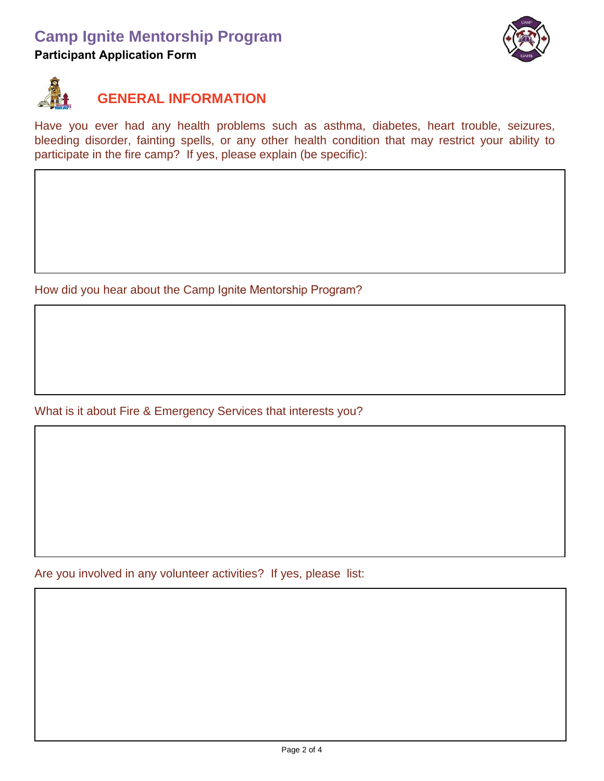#### **Camp Ignite Mentorship Program**

**Participant Application Form**





#### **GENERAL INFORMATION**

Have you ever had any health problems such as asthma, diabetes, heart trouble, seizures, bleeding disorder, fainting spells, or any other health condition that may restrict your ability to participate in the fire camp? If yes, please explain (be specific):

How did you hear about the Camp Ignite Mentorship Program?

What is it about Fire & Emergency Services that interests you?

Are you involved in any volunteer activities? If yes, please list: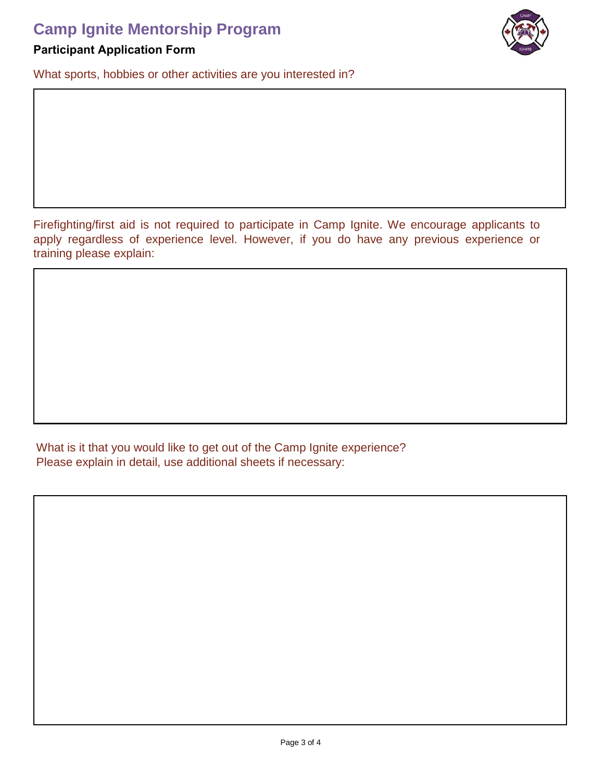### **Camp Ignite Mentorship Program**



What sports, hobbies or other activities are you interested in?



Firefighting/first aid is not required to participate in Camp Ignite. We encourage applicants to apply regardless of experience level. However, if you do have any previous experience or training please explain:

What is it that you would like to get out of the Camp Ignite experience? Please explain in detail, use additional sheets if necessary: